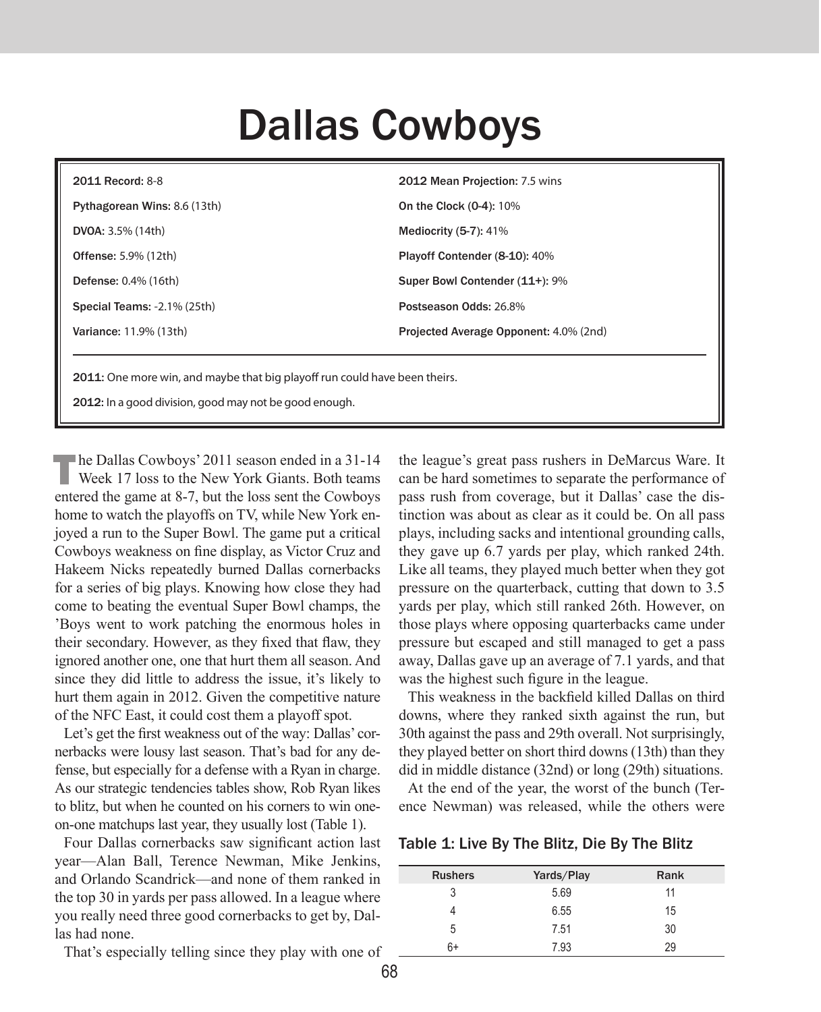# Dallas Cowboys

| <b>2011 Record: 8-8</b>      | 2012 Mean Projection: 7.5 wins         |
|------------------------------|----------------------------------------|
| Pythagorean Wins: 8.6 (13th) | On the Clock (0-4): 10%                |
| <b>DVOA:</b> $3.5\%$ (14th)  | Mediocrity $(5-7)$ : 41%               |
| <b>Offense:</b> 5.9% (12th)  | Playoff Contender (8-10): 40%          |
| <b>Defense:</b> 0.4% (16th)  | Super Bowl Contender (11+): 9%         |
| Special Teams: -2.1% (25th)  | Postseason Odds: 26.8%                 |
| Variance: 11.9% (13th)       | Projected Average Opponent: 4.0% (2nd) |
|                              |                                        |

2011: One more win, and maybe that big playoff run could have been theirs.

2012: In a good division, good may not be good enough.

The Dallas Cowboys' 2011 season ended in a 31-14 Week 17 loss to the New York Giants. Both teams entered the game at 8-7, but the loss sent the Cowboys home to watch the playoffs on TV, while New York enjoyed a run to the Super Bowl. The game put a critical Cowboys weakness on fine display, as Victor Cruz and Hakeem Nicks repeatedly burned Dallas cornerbacks for a series of big plays. Knowing how close they had come to beating the eventual Super Bowl champs, the 'Boys went to work patching the enormous holes in their secondary. However, as they fixed that flaw, they ignored another one, one that hurt them all season. And since they did little to address the issue, it's likely to hurt them again in 2012. Given the competitive nature of the NFC East, it could cost them a playoff spot.

Let's get the first weakness out of the way: Dallas' cornerbacks were lousy last season. That's bad for any defense, but especially for a defense with a Ryan in charge. As our strategic tendencies tables show, Rob Ryan likes to blitz, but when he counted on his corners to win oneon-one matchups last year, they usually lost (Table 1).

Four Dallas cornerbacks saw significant action last year—Alan Ball, Terence Newman, Mike Jenkins, and Orlando Scandrick—and none of them ranked in the top 30 in yards per pass allowed. In a league where you really need three good cornerbacks to get by, Dallas had none.

That's especially telling since they play with one of

the league's great pass rushers in DeMarcus Ware. It can be hard sometimes to separate the performance of pass rush from coverage, but it Dallas' case the distinction was about as clear as it could be. On all pass plays, including sacks and intentional grounding calls, they gave up 6.7 yards per play, which ranked 24th. Like all teams, they played much better when they got pressure on the quarterback, cutting that down to 3.5 yards per play, which still ranked 26th. However, on those plays where opposing quarterbacks came under pressure but escaped and still managed to get a pass away, Dallas gave up an average of 7.1 yards, and that was the highest such figure in the league.

This weakness in the backfield killed Dallas on third downs, where they ranked sixth against the run, but 30th against the pass and 29th overall. Not surprisingly, they played better on short third downs (13th) than they did in middle distance (32nd) or long (29th) situations.

At the end of the year, the worst of the bunch (Terence Newman) was released, while the others were

Table 1: Live By The Blitz, Die By The Blitz

| <b>Rushers</b> | Yards/Play | Rank |
|----------------|------------|------|
| 3              | 5.69       | 11   |
|                | 6.55       | 15   |
| 5              | 7.51       | 30   |
| 6+             | 7.93       | 29   |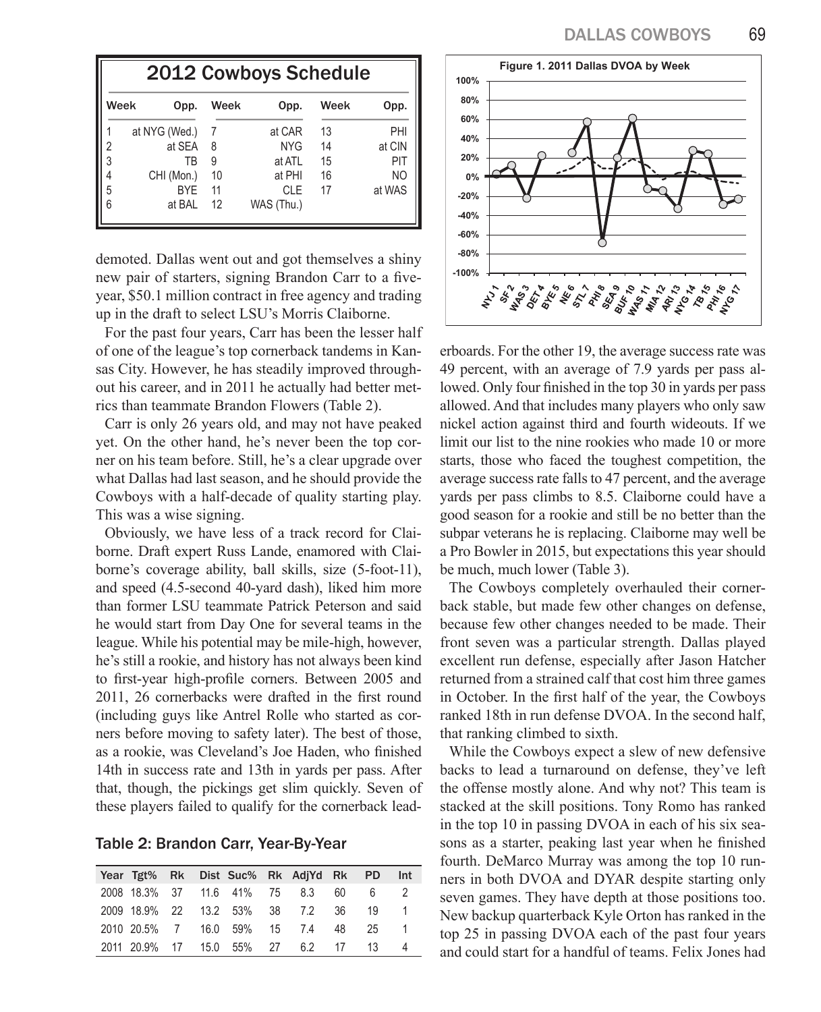|                                              | <b>2012 Cowboys Schedule</b> |    |            |    |                |  |  |  |  |  |  |  |
|----------------------------------------------|------------------------------|----|------------|----|----------------|--|--|--|--|--|--|--|
| Week<br>Week<br>Week<br>Opp.<br>Opp.<br>Opp. |                              |    |            |    |                |  |  |  |  |  |  |  |
|                                              | at NYG (Wed.)                | 7  | at CAR     | 13 | PHI            |  |  |  |  |  |  |  |
|                                              | at SEA                       | 8  | <b>NYG</b> | 14 | at CIN         |  |  |  |  |  |  |  |
| 3                                            | ΤB                           | 9  | at ATL     | 15 | PIT            |  |  |  |  |  |  |  |
|                                              | CHI (Mon.)                   | 10 | at PHI     | 16 | N <sub>O</sub> |  |  |  |  |  |  |  |
| 5                                            | <b>BYF</b>                   | 11 | <b>CLE</b> | 17 | at WAS         |  |  |  |  |  |  |  |
| 6                                            | at BAL                       | 12 | WAS (Thu.) |    |                |  |  |  |  |  |  |  |

demoted. Dallas went out and got themselves a shiny new pair of starters, signing Brandon Carr to a fiveyear, \$50.1 million contract in free agency and trading up in the draft to select LSU's Morris Claiborne.

For the past four years, Carr has been the lesser half of one of the league's top cornerback tandems in Kansas City. However, he has steadily improved throughout his career, and in 2011 he actually had better metrics than teammate Brandon Flowers (Table 2).

Carr is only 26 years old, and may not have peaked yet. On the other hand, he's never been the top corner on his team before. Still, he's a clear upgrade over what Dallas had last season, and he should provide the Cowboys with a half-decade of quality starting play. This was a wise signing.

Obviously, we have less of a track record for Claiborne. Draft expert Russ Lande, enamored with Claiborne's coverage ability, ball skills, size (5-foot-11), and speed (4.5-second 40-yard dash), liked him more than former LSU teammate Patrick Peterson and said he would start from Day One for several teams in the league. While his potential may be mile-high, however, he's still a rookie, and history has not always been kind to first-year high-profile corners. Between 2005 and 2011, 26 cornerbacks were drafted in the first round (including guys like Antrel Rolle who started as corners before moving to safety later). The best of those, as a rookie, was Cleveland's Joe Haden, who finished 14th in success rate and 13th in yards per pass. After that, though, the pickings get slim quickly. Seven of these players failed to qualify for the cornerback lead-

Table 2: Brandon Carr, Year-By-Year

|  |  |  | Year Tgt% Rk Dist Suc% Rk AdjYd Rk PD |      | Int |
|--|--|--|---------------------------------------|------|-----|
|  |  |  | 2008 18.3% 37 11.6 41% 75 8.3 60 6    |      |     |
|  |  |  | 2009 18.9% 22 13.2 53% 38 7.2 36      | 19   |     |
|  |  |  | 2010 20.5% 7 16.0 59% 15 7.4 48       | - 25 |     |
|  |  |  | 2011 20.9% 17 15.0 55% 27 6.2 17 13   |      |     |



erboards. For the other 19, the average success rate was 49 percent, with an average of 7.9 yards per pass allowed. Only four finished in the top 30 in yards per pass allowed. And that includes many players who only saw nickel action against third and fourth wideouts. If we limit our list to the nine rookies who made 10 or more starts, those who faced the toughest competition, the average success rate falls to 47 percent, and the average yards per pass climbs to 8.5. Claiborne could have a good season for a rookie and still be no better than the subpar veterans he is replacing. Claiborne may well be a Pro Bowler in 2015, but expectations this year should be much, much lower (Table 3).

The Cowboys completely overhauled their cornerback stable, but made few other changes on defense, because few other changes needed to be made. Their front seven was a particular strength. Dallas played excellent run defense, especially after Jason Hatcher returned from a strained calf that cost him three games in October. In the first half of the year, the Cowboys ranked 18th in run defense DVOA. In the second half, that ranking climbed to sixth.

While the Cowboys expect a slew of new defensive backs to lead a turnaround on defense, they've left the offense mostly alone. And why not? This team is stacked at the skill positions. Tony Romo has ranked in the top 10 in passing DVOA in each of his six seasons as a starter, peaking last year when he finished fourth. DeMarco Murray was among the top 10 runners in both DVOA and DYAR despite starting only seven games. They have depth at those positions too. New backup quarterback Kyle Orton has ranked in the top 25 in passing DVOA each of the past four years and could start for a handful of teams. Felix Jones had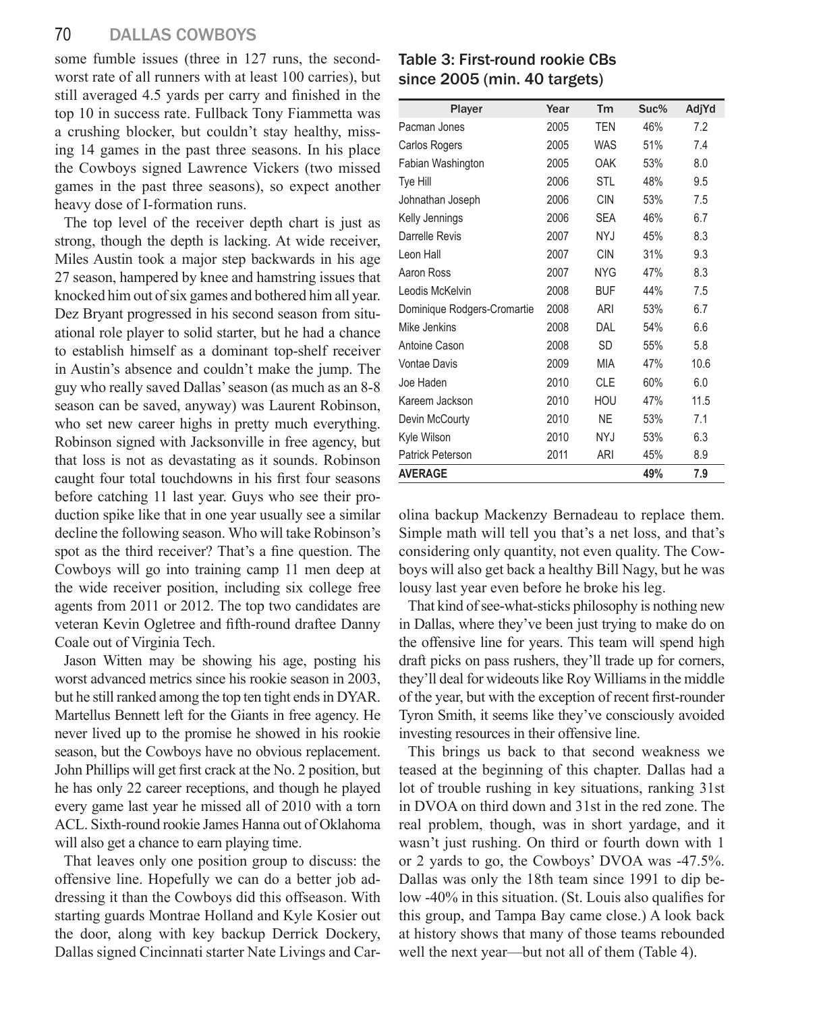some fumble issues (three in 127 runs, the secondworst rate of all runners with at least 100 carries), but still averaged 4.5 yards per carry and finished in the top 10 in success rate. Fullback Tony Fiammetta was a crushing blocker, but couldn't stay healthy, missing 14 games in the past three seasons. In his place the Cowboys signed Lawrence Vickers (two missed games in the past three seasons), so expect another heavy dose of I-formation runs.

The top level of the receiver depth chart is just as strong, though the depth is lacking. At wide receiver, Miles Austin took a major step backwards in his age 27 season, hampered by knee and hamstring issues that knocked him out of six games and bothered him all year. Dez Bryant progressed in his second season from situational role player to solid starter, but he had a chance to establish himself as a dominant top-shelf receiver in Austin's absence and couldn't make the jump. The guy who really saved Dallas' season (as much as an 8-8 season can be saved, anyway) was Laurent Robinson, who set new career highs in pretty much everything. Robinson signed with Jacksonville in free agency, but that loss is not as devastating as it sounds. Robinson caught four total touchdowns in his first four seasons before catching 11 last year. Guys who see their production spike like that in one year usually see a similar decline the following season. Who will take Robinson's spot as the third receiver? That's a fine question. The Cowboys will go into training camp 11 men deep at the wide receiver position, including six college free agents from 2011 or 2012. The top two candidates are veteran Kevin Ogletree and fifth-round draftee Danny Coale out of Virginia Tech.

Jason Witten may be showing his age, posting his worst advanced metrics since his rookie season in 2003, but he still ranked among the top ten tight ends in DYAR. Martellus Bennett left for the Giants in free agency. He never lived up to the promise he showed in his rookie season, but the Cowboys have no obvious replacement. John Phillips will get first crack at the No. 2 position, but he has only 22 career receptions, and though he played every game last year he missed all of 2010 with a torn ACL. Sixth-round rookie James Hanna out of Oklahoma will also get a chance to earn playing time.

That leaves only one position group to discuss: the offensive line. Hopefully we can do a better job addressing it than the Cowboys did this offseason. With starting guards Montrae Holland and Kyle Kosier out the door, along with key backup Derrick Dockery, Dallas signed Cincinnati starter Nate Livings and Car-

Table 3: First-round rookie CBs since 2005 (min. 40 targets)

| Player                      | Year | Tm         | Suc% | AdjYd |
|-----------------------------|------|------------|------|-------|
| Pacman Jones                | 2005 | <b>TEN</b> | 46%  | 7.2   |
| Carlos Rogers               | 2005 | <b>WAS</b> | 51%  | 7.4   |
| Fabian Washington           | 2005 | OAK        | 53%  | 8.0   |
| Tye Hill                    | 2006 | <b>STL</b> | 48%  | 9.5   |
| Johnathan Joseph            | 2006 | <b>CIN</b> | 53%  | 7.5   |
| Kelly Jennings              | 2006 | <b>SEA</b> | 46%  | 6.7   |
| Darrelle Revis              | 2007 | NY.J       | 45%  | 8.3   |
| Leon Hall                   | 2007 | <b>CIN</b> | 31%  | 9.3   |
| Aaron Ross                  | 2007 | <b>NYG</b> | 47%  | 8.3   |
| Leodis McKelvin             | 2008 | <b>BUF</b> | 44%  | 7.5   |
| Dominique Rodgers-Cromartie | 2008 | ARI        | 53%  | 6.7   |
| Mike Jenkins                | 2008 | DAL        | 54%  | 6.6   |
| Antoine Cason               | 2008 | <b>SD</b>  | 55%  | 5.8   |
| <b>Vontae Davis</b>         | 2009 | <b>MIA</b> | 47%  | 10.6  |
| Joe Haden                   | 2010 | <b>CLE</b> | 60%  | 6.0   |
| Kareem Jackson              | 2010 | HOU        | 47%  | 11.5  |
| Devin McCourty              | 2010 | <b>NE</b>  | 53%  | 7.1   |
| Kyle Wilson                 | 2010 | <b>NYJ</b> | 53%  | 6.3   |
| Patrick Peterson            | 2011 | ARI        | 45%  | 8.9   |
| <b>AVERAGE</b>              |      |            | 49%  | 7.9   |

olina backup Mackenzy Bernadeau to replace them. Simple math will tell you that's a net loss, and that's considering only quantity, not even quality. The Cowboys will also get back a healthy Bill Nagy, but he was lousy last year even before he broke his leg.

That kind of see-what-sticks philosophy is nothing new in Dallas, where they've been just trying to make do on the offensive line for years. This team will spend high draft picks on pass rushers, they'll trade up for corners, they'll deal for wideouts like Roy Williams in the middle of the year, but with the exception of recent first-rounder Tyron Smith, it seems like they've consciously avoided investing resources in their offensive line.

This brings us back to that second weakness we teased at the beginning of this chapter. Dallas had a lot of trouble rushing in key situations, ranking 31st in DVOA on third down and 31st in the red zone. The real problem, though, was in short yardage, and it wasn't just rushing. On third or fourth down with 1 or 2 yards to go, the Cowboys' DVOA was -47.5%. Dallas was only the 18th team since 1991 to dip below -40% in this situation. (St. Louis also qualifies for this group, and Tampa Bay came close.) A look back at history shows that many of those teams rebounded well the next year—but not all of them (Table 4).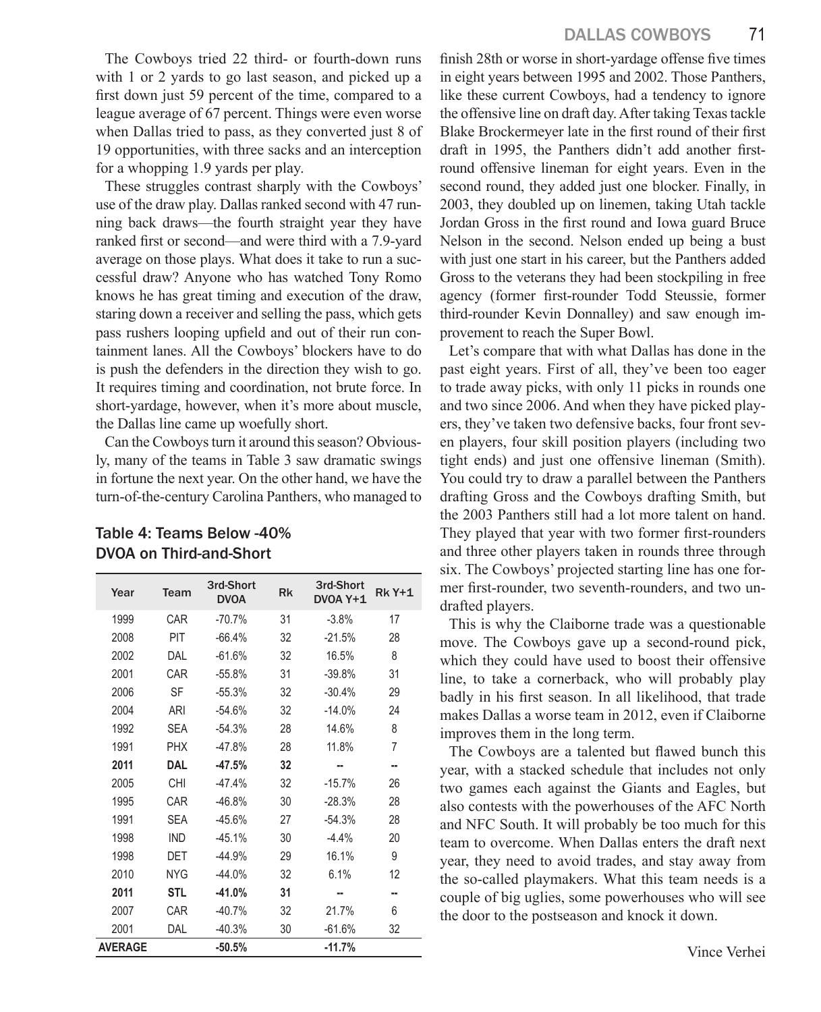The Cowboys tried 22 third- or fourth-down runs with 1 or 2 yards to go last season, and picked up a first down just 59 percent of the time, compared to a league average of 67 percent. Things were even worse when Dallas tried to pass, as they converted just 8 of 19 opportunities, with three sacks and an interception for a whopping 1.9 yards per play.

These struggles contrast sharply with the Cowboys' use of the draw play. Dallas ranked second with 47 running back draws—the fourth straight year they have ranked first or second—and were third with a 7.9-yard average on those plays. What does it take to run a successful draw? Anyone who has watched Tony Romo knows he has great timing and execution of the draw, staring down a receiver and selling the pass, which gets pass rushers looping upfield and out of their run containment lanes. All the Cowboys' blockers have to do is push the defenders in the direction they wish to go. It requires timing and coordination, not brute force. In short-yardage, however, when it's more about muscle, the Dallas line came up woefully short.

Can the Cowboys turn it around this season? Obviously, many of the teams in Table 3 saw dramatic swings in fortune the next year. On the other hand, we have the turn-of-the-century Carolina Panthers, who managed to

#### Table 4: Teams Below -40% DVOA on Third-and-Short

| Year           | Team       | 3rd-Short<br><b>DVOA</b> | <b>Rk</b> | 3rd-Short<br>DVOA Y+1 | <b>Rk Y+1</b> |
|----------------|------------|--------------------------|-----------|-----------------------|---------------|
| 1999           | CAR        | $-70.7%$                 | 31        | $-3.8%$               | 17            |
| 2008           | PIT        | $-66.4%$                 | 32        | $-21.5%$              | 28            |
| 2002           | DAL        | $-61.6%$                 | 32        | 16.5%                 | 8             |
| 2001           | CAR        | $-55.8%$                 | 31        | $-39.8%$              | 31            |
| 2006           | SF         | $-55.3%$                 | 32        | $-30.4%$              | 29            |
| 2004           | ARI        | $-54.6%$                 | 32        | $-14.0%$              | 24            |
| 1992           | <b>SEA</b> | $-54.3%$                 | 28        | 14.6%                 | 8             |
| 1991           | <b>PHX</b> | $-47.8%$                 | 28        | 11.8%                 | 7             |
| 2011           | DAL        | $-47.5%$                 | 32        |                       |               |
| 2005           | CHI        | $-47.4%$                 | 32        | $-15.7%$              | 26            |
| 1995           | CAR        | $-46.8%$                 | 30        | $-28.3%$              | 28            |
| 1991           | <b>SEA</b> | $-45.6%$                 | 27        | $-54.3%$              | 28            |
| 1998           | <b>IND</b> | $-45.1%$                 | 30        | $-4.4%$               | 20            |
| 1998           | DET        | $-44.9%$                 | 29        | 16.1%                 | 9             |
| 2010           | <b>NYG</b> | $-44.0%$                 | 32        | 6.1%                  | 12            |
| 2011           | <b>STL</b> | $-41.0%$                 | 31        |                       |               |
| 2007           | CAR        | $-40.7%$                 | 32        | 21.7%                 | 6             |
| 2001           | DAL        | $-40.3%$                 | 30        | $-61.6%$              | 32            |
| <b>AVERAGE</b> |            | $-50.5%$                 |           | $-11.7%$              |               |

finish 28th or worse in short-yardage offense five times in eight years between 1995 and 2002. Those Panthers, like these current Cowboys, had a tendency to ignore the offensive line on draft day. After taking Texas tackle Blake Brockermeyer late in the first round of their first draft in 1995, the Panthers didn't add another firstround offensive lineman for eight years. Even in the second round, they added just one blocker. Finally, in 2003, they doubled up on linemen, taking Utah tackle Jordan Gross in the first round and Iowa guard Bruce Nelson in the second. Nelson ended up being a bust with just one start in his career, but the Panthers added Gross to the veterans they had been stockpiling in free agency (former first-rounder Todd Steussie, former third-rounder Kevin Donnalley) and saw enough improvement to reach the Super Bowl.

Let's compare that with what Dallas has done in the past eight years. First of all, they've been too eager to trade away picks, with only 11 picks in rounds one and two since 2006. And when they have picked players, they've taken two defensive backs, four front seven players, four skill position players (including two tight ends) and just one offensive lineman (Smith). You could try to draw a parallel between the Panthers drafting Gross and the Cowboys drafting Smith, but the 2003 Panthers still had a lot more talent on hand. They played that year with two former first-rounders and three other players taken in rounds three through six. The Cowboys' projected starting line has one former first-rounder, two seventh-rounders, and two undrafted players.

This is why the Claiborne trade was a questionable move. The Cowboys gave up a second-round pick, which they could have used to boost their offensive line, to take a cornerback, who will probably play badly in his first season. In all likelihood, that trade makes Dallas a worse team in 2012, even if Claiborne improves them in the long term.

The Cowboys are a talented but flawed bunch this year, with a stacked schedule that includes not only two games each against the Giants and Eagles, but also contests with the powerhouses of the AFC North and NFC South. It will probably be too much for this team to overcome. When Dallas enters the draft next year, they need to avoid trades, and stay away from the so-called playmakers. What this team needs is a couple of big uglies, some powerhouses who will see the door to the postseason and knock it down.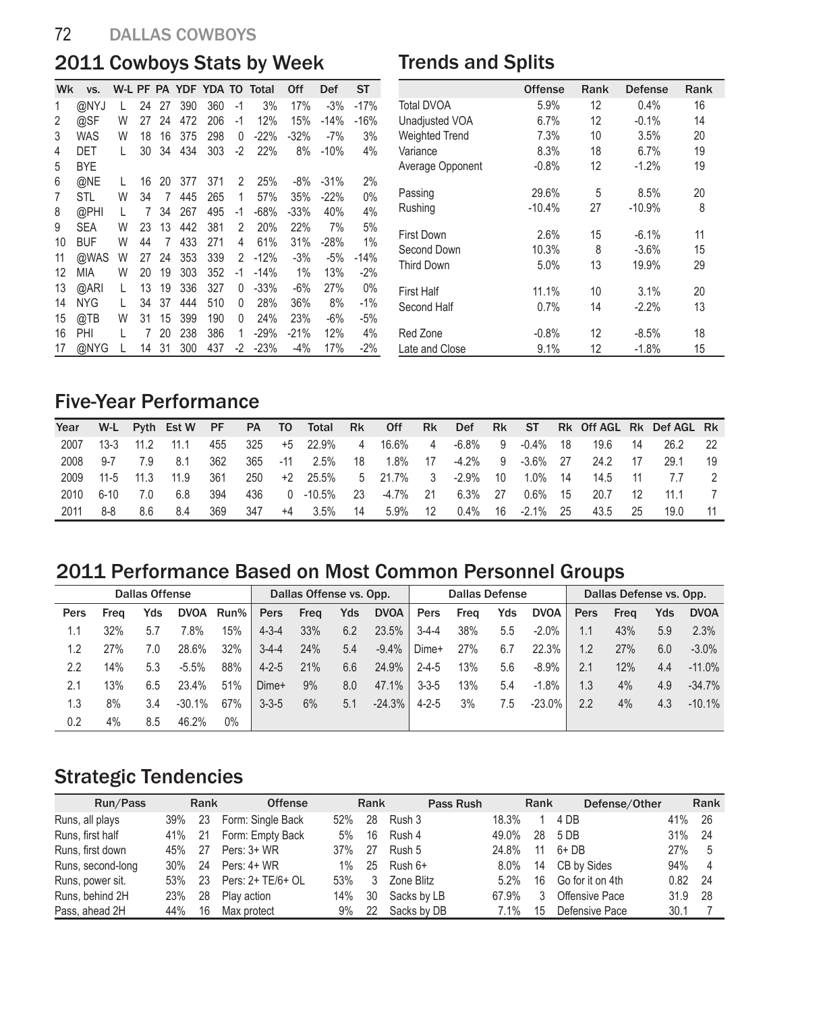#### 72 DALLAS COWBOYS

# 2011 Cowboys Stats by Week

#### Trends and Splits

| 390<br>360<br>17%<br>$-17%$<br>@NYJ<br>$-1$<br>3%<br>$-3%$<br>1<br>24<br>27<br>L<br>2<br>@SF<br>W<br>206<br>472<br>12%<br>15%<br>$-14%$<br>$-16%$<br>27<br>24<br>-1<br>3<br><b>WAS</b><br>W<br>298<br>18<br>16<br>375<br>0<br>$-22%$<br>$-32\%$<br>3%<br>-7%<br>4<br>434<br>303<br>34<br>$-2$<br>22%<br>8%<br>4%<br>DET<br>L<br>30<br>$-10%$<br><b>BYE</b><br>5<br>2%<br>6<br>@NE<br>2<br>25%<br>$-8%$<br>377<br>371<br>$-31%$<br>L<br>16<br>20<br>1<br>0%<br>W<br>445<br>265<br>35%<br>$-22%$<br>7<br>STL<br>34<br>57%<br>7<br>@PHI<br>267<br>495<br>$-68%$<br>40%<br>4%<br>8<br>$-33%$<br>L<br>34<br>-1<br>7<br>9<br>W<br>13<br>442<br>381<br>20%<br>22%<br><b>SEA</b><br>23<br>2<br>7%<br>5%<br>10<br>433<br><b>BUF</b><br>W<br>271<br>4<br>61%<br>44<br>31%<br>$-28%$<br>1%<br>7<br>11<br>@WAS<br>339<br>2<br>W<br>353<br>$-12%$<br>$-3%$<br>$-5%$<br>$-14%$<br>27<br>24<br>12<br>W<br>19<br><b>MIA</b><br>20<br>303<br>352<br>-1<br>1%<br>13%<br>$-2%$<br>$-14%$<br>13<br>19<br>@ARI<br>13<br>336<br>327<br>L<br>0<br>$-33%$<br>-6%<br>27%<br>$0\%$<br>444<br>14<br><b>NYG</b><br>37<br>510<br>0<br>28%<br>36%<br>8%<br>L<br>34<br>-1%<br>@TB<br>W<br>31<br>399<br>190<br>15<br>15<br>0<br>24%<br>23%<br>$-6\%$<br>$-5%$<br>238<br>16<br>20<br>386<br>12%<br>PHI<br>L<br>7<br>1<br>$-29%$<br>$-21%$<br>4%<br>@NYG<br>31<br>300<br>17<br>14<br>437<br>-2<br>$-23%$<br>$-4%$<br>17%<br>$-2%$<br>L | Wk | VS. |  |  |  | W-L PF PA YDF YDA TO Total | Off | Def | ST |
|------------------------------------------------------------------------------------------------------------------------------------------------------------------------------------------------------------------------------------------------------------------------------------------------------------------------------------------------------------------------------------------------------------------------------------------------------------------------------------------------------------------------------------------------------------------------------------------------------------------------------------------------------------------------------------------------------------------------------------------------------------------------------------------------------------------------------------------------------------------------------------------------------------------------------------------------------------------------------------------------------------------------------------------------------------------------------------------------------------------------------------------------------------------------------------------------------------------------------------------------------------------------------------------------------------------------------------------------------------------------------------------------------|----|-----|--|--|--|----------------------------|-----|-----|----|
|                                                                                                                                                                                                                                                                                                                                                                                                                                                                                                                                                                                                                                                                                                                                                                                                                                                                                                                                                                                                                                                                                                                                                                                                                                                                                                                                                                                                      |    |     |  |  |  |                            |     |     |    |
|                                                                                                                                                                                                                                                                                                                                                                                                                                                                                                                                                                                                                                                                                                                                                                                                                                                                                                                                                                                                                                                                                                                                                                                                                                                                                                                                                                                                      |    |     |  |  |  |                            |     |     |    |
|                                                                                                                                                                                                                                                                                                                                                                                                                                                                                                                                                                                                                                                                                                                                                                                                                                                                                                                                                                                                                                                                                                                                                                                                                                                                                                                                                                                                      |    |     |  |  |  |                            |     |     |    |
|                                                                                                                                                                                                                                                                                                                                                                                                                                                                                                                                                                                                                                                                                                                                                                                                                                                                                                                                                                                                                                                                                                                                                                                                                                                                                                                                                                                                      |    |     |  |  |  |                            |     |     |    |
|                                                                                                                                                                                                                                                                                                                                                                                                                                                                                                                                                                                                                                                                                                                                                                                                                                                                                                                                                                                                                                                                                                                                                                                                                                                                                                                                                                                                      |    |     |  |  |  |                            |     |     |    |
|                                                                                                                                                                                                                                                                                                                                                                                                                                                                                                                                                                                                                                                                                                                                                                                                                                                                                                                                                                                                                                                                                                                                                                                                                                                                                                                                                                                                      |    |     |  |  |  |                            |     |     |    |
|                                                                                                                                                                                                                                                                                                                                                                                                                                                                                                                                                                                                                                                                                                                                                                                                                                                                                                                                                                                                                                                                                                                                                                                                                                                                                                                                                                                                      |    |     |  |  |  |                            |     |     |    |
|                                                                                                                                                                                                                                                                                                                                                                                                                                                                                                                                                                                                                                                                                                                                                                                                                                                                                                                                                                                                                                                                                                                                                                                                                                                                                                                                                                                                      |    |     |  |  |  |                            |     |     |    |
|                                                                                                                                                                                                                                                                                                                                                                                                                                                                                                                                                                                                                                                                                                                                                                                                                                                                                                                                                                                                                                                                                                                                                                                                                                                                                                                                                                                                      |    |     |  |  |  |                            |     |     |    |
|                                                                                                                                                                                                                                                                                                                                                                                                                                                                                                                                                                                                                                                                                                                                                                                                                                                                                                                                                                                                                                                                                                                                                                                                                                                                                                                                                                                                      |    |     |  |  |  |                            |     |     |    |
|                                                                                                                                                                                                                                                                                                                                                                                                                                                                                                                                                                                                                                                                                                                                                                                                                                                                                                                                                                                                                                                                                                                                                                                                                                                                                                                                                                                                      |    |     |  |  |  |                            |     |     |    |
|                                                                                                                                                                                                                                                                                                                                                                                                                                                                                                                                                                                                                                                                                                                                                                                                                                                                                                                                                                                                                                                                                                                                                                                                                                                                                                                                                                                                      |    |     |  |  |  |                            |     |     |    |
|                                                                                                                                                                                                                                                                                                                                                                                                                                                                                                                                                                                                                                                                                                                                                                                                                                                                                                                                                                                                                                                                                                                                                                                                                                                                                                                                                                                                      |    |     |  |  |  |                            |     |     |    |
|                                                                                                                                                                                                                                                                                                                                                                                                                                                                                                                                                                                                                                                                                                                                                                                                                                                                                                                                                                                                                                                                                                                                                                                                                                                                                                                                                                                                      |    |     |  |  |  |                            |     |     |    |
|                                                                                                                                                                                                                                                                                                                                                                                                                                                                                                                                                                                                                                                                                                                                                                                                                                                                                                                                                                                                                                                                                                                                                                                                                                                                                                                                                                                                      |    |     |  |  |  |                            |     |     |    |
|                                                                                                                                                                                                                                                                                                                                                                                                                                                                                                                                                                                                                                                                                                                                                                                                                                                                                                                                                                                                                                                                                                                                                                                                                                                                                                                                                                                                      |    |     |  |  |  |                            |     |     |    |
|                                                                                                                                                                                                                                                                                                                                                                                                                                                                                                                                                                                                                                                                                                                                                                                                                                                                                                                                                                                                                                                                                                                                                                                                                                                                                                                                                                                                      |    |     |  |  |  |                            |     |     |    |

|                       | <b>Offense</b> | Rank | <b>Defense</b> | Rank |
|-----------------------|----------------|------|----------------|------|
| <b>Total DVOA</b>     | 5.9%           | 12   | 0.4%           | 16   |
| Unadjusted VOA        | 6.7%           | 12   | $-0.1%$        | 14   |
| <b>Weighted Trend</b> | 7.3%           | 10   | 3.5%           | 20   |
| Variance              | 8.3%           | 18   | 6.7%           | 19   |
| Average Opponent      | $-0.8%$        | 12   | $-1.2%$        | 19   |
| Passing               | 29.6%          | 5    | 8.5%           | 20   |
| Rushing               | $-10.4%$       | 27   | $-10.9%$       | 8    |
| <b>First Down</b>     | 2.6%           | 15   | $-6.1%$        | 11   |
| Second Down           | 10.3%          | 8    | $-3.6%$        | 15   |
| <b>Third Down</b>     | 5.0%           | 13   | 19.9%          | 29   |
| <b>First Half</b>     | 11.1%          | 10   | 3.1%           | 20   |
| Second Half           | 0.7%           | 14   | $-2.2%$        | 13   |
| Red Zone              | $-0.8%$        | 12   | $-8.5%$        | 18   |
| Late and Close        | 9.1%           | 12   | $-1.8%$        | 15   |

# Five-Year Performance

| Year |                |     | W-L Pyth Est W PF |       |     | PA TO Total Rk Off      |                  |         | Rk | Def     |                  |                       |      | Rk ST Rk Off AGL Rk Def AGL Rk |  |
|------|----------------|-----|-------------------|-------|-----|-------------------------|------------------|---------|----|---------|------------------|-----------------------|------|--------------------------------|--|
| 2007 | 13-3 11.2      |     | 11 1              | 455   |     | 325 +5 22.9% 4 16.6% 4  |                  |         |    |         | -6.8% 9 -0.4% 18 | 196                   | - 14 | 26.2                           |  |
| 2008 | 9-7            | 79  | 81                | 362   |     | 365 -11 2.5% 18 1.8% 17 |                  |         |    |         | -4.2% 9 -3.6% 27 | 24 2                  | - 17 | 29.1                           |  |
|      | 2009 11-5 11.3 |     | 11.9              | - 361 |     | 250 +2 25.5% 5 21.7% 3  |                  |         |    |         |                  | -2.9% 10 1.0% 14 14.5 | 11   |                                |  |
| 2010 | . 6-10         | 7 O | 68                | 394   | 436 | 0 -10.5%  23  -4.7%  21 |                  |         |    | 6.3% 27 | 0.6% 15          | 20.7                  | 12   | 11 1                           |  |
| 2011 |                | 86  | 84                | 369   | 347 | +4 3.5%                 | $\sim$ 14 $\sim$ | 5.9% 12 |    |         | 0.4% 16 -2.1% 25 | 43.5                  | - 25 | 19.0                           |  |

# 2011 Performance Based on Most Common Personnel Groups

|      | <b>Dallas Offense</b> |     |             |      | Dallas Offense vs. Opp. |      |     |             | <b>Dallas Defense</b> |      |     |             | Dallas Defense vs. Opp. |      |     |             |
|------|-----------------------|-----|-------------|------|-------------------------|------|-----|-------------|-----------------------|------|-----|-------------|-------------------------|------|-----|-------------|
| Pers | Frea                  | Yds | <b>DVOA</b> | Run% | Pers                    | Frea | Yds | <b>DVOA</b> | Pers                  | Frea | Yds | <b>DVOA</b> | Pers                    | Frea | Yds | <b>DVOA</b> |
| 1.1  | 32%                   | 5.7 | 7.8%        | 15%  | $4 - 3 - 4$             | 33%  | 6.2 | 23.5%       | $3-4-4$               | 38%  | 5.5 | $-2.0\%$    | 1.1                     | 43%  | 5.9 | 2.3%        |
| 1.2  | 27%                   | 70  | 28.6%       | 32%  | $3 - 4 - 4$             | 24%  | 5.4 | $-9.4\%$    | Dime+                 | 27%  | 6.7 | 22.3%       | 1.2                     | 27%  | 6.0 | $-3.0\%$    |
| 2.2  | 14%                   | 5.3 | $-5.5%$     | 88%  | $4 - 2 - 5$             | 21%  | 6.6 | 24.9%       | $2 - 4 - 5$           | 13%  | 5.6 | $-8.9\%$    | 2.1                     | 12%  | 4.4 | $-11.0\%$   |
| 2.1  | 13%                   | 6.5 | 23.4%       | 51%  | Dime+                   | 9%   | 8.0 | 47.1%       | $3 - 3 - 5$           | 13%  | 5.4 | $-1.8%$     | 1.3                     | 4%   | 4.9 | $-34.7\%$   |
| 1.3  | 8%                    | 3.4 | $-30.1%$    | 67%  | $3 - 3 - 5$             | 6%   | 5.1 | $-24.3%$    | $4 - 2 - 5$           | 3%   | 7.5 | $-23.0\%$   | 2.2                     | 4%   | 4.3 | $-10.1\%$   |
| 0.2  | 4%                    | 8.5 | 46.2%       | 0%   |                         |      |     |             |                       |      |     |             |                         |      |     |             |

# Strategic Tendencies

| Run/Pass          |     | Rank | <b>Offense</b>       |       | Rank | Pass Rush   |         | Rank | Defense/Other    |      | Rank           |
|-------------------|-----|------|----------------------|-------|------|-------------|---------|------|------------------|------|----------------|
| Runs, all plays   | 39% | 23   | Form: Single Back    | 52%   | 28   | Rush 3      | 18.3%   |      | 4 DB             | 41%  | - 26           |
| Runs, first half  | 41% | -21  | Form: Empty Back     | 5%    | 16   | Rush 4      | 49.0%   | 28   | 5 DB             | 31%  | -24            |
| Runs, first down  | 45% | - 27 | Pers: 3+ WR          | 37%   | 27   | Rush 5      | 24 8%   | 11   | $6+DB$           | 27%  | 5              |
| Runs, second-long | 30% | - 24 | Pers: 4+ WR          | $1\%$ | 25   | Rush 6+     | $8.0\%$ | 14   | CB by Sides      | 94%  | $\overline{4}$ |
| Runs, power sit.  | 53% |      | 23 Pers: 2+ TE/6+ OL | 53%   |      | Zone Blitz  | $5.2\%$ | 16   | Go for it on 4th | 0.82 | - 24           |
| Runs, behind 2H   | 23% | 28   | Play action          | 14%   | 30   | Sacks by LB | 67.9%   | 3    | Offensive Pace   | 31.9 | - 28           |
| Pass, ahead 2H    | 44% | 16   | Max protect          | 9%    | 22   | Sacks by DB | 7.1%    | 15   | Defensive Pace   | 30.1 |                |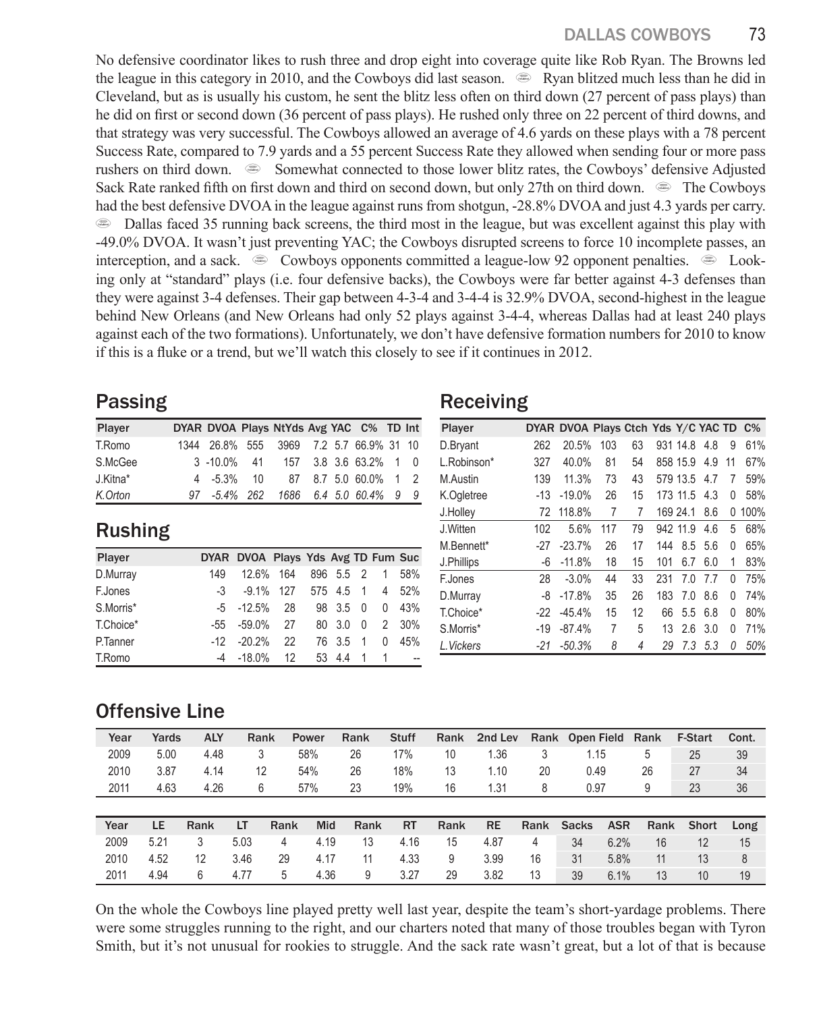No defensive coordinator likes to rush three and drop eight into coverage quite like Rob Ryan. The Browns led the league in this category in 2010, and the Cowboys did last season.  $\bullet$  Ryan blitzed much less than he did in Cleveland, but as is usually his custom, he sent the blitz less often on third down (27 percent of pass plays) than he did on first or second down (36 percent of pass plays). He rushed only three on 22 percent of third downs, and that strategy was very successful. The Cowboys allowed an average of 4.6 yards on these plays with a 78 percent Success Rate, compared to 7.9 yards and a 55 percent Success Rate they allowed when sending four or more pass rushers on third down.  $\bullet$  Somewhat connected to those lower blitz rates, the Cowboys' defensive Adjusted Sack Rate ranked fifth on first down and third on second down, but only 27th on third down.  $\bullet$  The Cowboys had the best defensive DVOA in the league against runs from shotgun, -28.8% DVOA and just 4.3 yards per carry. **E** Dallas faced 35 running back screens, the third most in the league, but was excellent against this play with -49.0% DVOA. It wasn't just preventing YAC; the Cowboys disrupted screens to force 10 incomplete passes, an interception, and a sack.  $\bullet$  Cowboys opponents committed a league-low 92 opponent penalties.  $\bullet$  Looking only at "standard" plays (i.e. four defensive backs), the Cowboys were far better against 4-3 defenses than they were against 3-4 defenses. Their gap between 4-3-4 and 3-4-4 is 32.9% DVOA, second-highest in the league behind New Orleans (and New Orleans had only 52 plays against 3-4-4, whereas Dallas had at least 240 plays against each of the two formations). Unfortunately, we don't have defensive formation numbers for 2010 to know if this is a fluke or a trend, but we'll watch this closely to see if it continues in 2012.

#### Passing

| Player   | DYAR DVOA Plays NtYds Avg YAC C% TD Int  |  |  |                      |  |
|----------|------------------------------------------|--|--|----------------------|--|
| T.Romo   | 1344 26.8% 555 3969 7.2 5.7 66.9% 31 10  |  |  |                      |  |
| S.McGee  | 3 -10.0%  41  157  3.8  3.6  63.2%  1  0 |  |  |                      |  |
| J.Kitna* | 4 -5.3% 10                               |  |  | 87 8.7 5.0 60.0% 1 2 |  |
| K.Orton  | 97 -5.4% 262                             |  |  | 1686 6.4 5.0 60.4% 9 |  |

#### Receiving

| Player      |       | DYAR DVOA Plays Ctch Yds Y/C YAC TD C% |                |    |     |          |     |    |      |
|-------------|-------|----------------------------------------|----------------|----|-----|----------|-----|----|------|
| D.Bryant    | 262   | 20.5%                                  | 103            | 63 |     | 931 14.8 | 48  | 9  | 61%  |
| L.Robinson* | 327   | 40.0%                                  | 81             | 54 |     | 858 15.9 | 4.9 | 11 | 67%  |
| M.Austin    | 139   | 11.3%                                  | 73             | 43 |     | 579 13.5 | 4.7 | 7  | 59%  |
| K.Ogletree  | $-13$ | $-19.0%$                               | 26             | 15 |     | 173 11.5 | 4.3 | 0  | 58%  |
| J.Holley    | 72    | 118.8%                                 | 7              | 7  |     | 169 24.1 | 8.6 | 0  | 100% |
| J.Witten    | 102   | 5.6%                                   | 117            | 79 |     | 942 11.9 | 4.6 | 5  | 68%  |
| M.Bennett*  | -27   | $-23.7%$                               | 26             | 17 | 144 | 8.5      | 56  | 0  | 65%  |
| J.Phillips  | $-6$  | $-11.8%$                               | 18             | 15 | 101 | 6.7      | 6.0 | 1  | 83%  |
| F.Jones     | 28    | $-3.0%$                                | 44             | 33 | 231 | 7.0      | 77  | 0  | 75%  |
| D.Murray    | -8    | $-17.8%$                               | 35             | 26 | 183 | 7.0      | 8.6 | 0  | 74%  |
| T.Choice*   | -22   | $-45.4%$                               | 15             | 12 | 66  | 5.5      | 6.8 | 0  | 80%  |
| S.Morris*   | $-19$ | $-87.4%$                               | $\overline{7}$ | 5  | 13  | 2.6      | 3.0 | 0  | 71%  |
| L. Vickers  | $-21$ | $-50.3%$                               | 8              | 4  | 29  | 7.3      | 5.3 | 0  | 50%  |

## Rushing

| Player    |     | DYAR DVOA Plays Yds Avg TD Fum Suc |                           |  |                |  |
|-----------|-----|------------------------------------|---------------------------|--|----------------|--|
| D.Murray  | 149 |                                    | 12.6% 164 896 5.5 2 1 58% |  |                |  |
| F.Jones   |     | -3 -9.1% 127 575 4.5 1 4 52%       |                           |  |                |  |
| S.Morris* |     | -5 -12.5% 28 98 3.5 0 0 43%        |                           |  |                |  |
| T.Choice* |     | -55 -59.0% 27                      |                           |  | 80 3.0 0 2 30% |  |
| P.Tanner  |     | $-12$ $-20.2\%$ 22 76 3.5 1 0 45%  |                           |  |                |  |
| T.Romo    |     | -4 -18.0% 12 53 4.4 1 1 --         |                           |  |                |  |

# Offensive Line

| Year | Yards | <b>ALY</b> | Rank |      | <b>Power</b> | Rank | <b>Stuff</b> | Rank | 2nd Lev   |      | Rank Open Field | Rank       |      | <b>F-Start</b> | Cont. |
|------|-------|------------|------|------|--------------|------|--------------|------|-----------|------|-----------------|------------|------|----------------|-------|
| 2009 | 5.00  | 4.48       | 3    |      | 58%          | 26   | 17%          | 10   | 1.36      | 3    | 1.15            | 5          |      | 25             | 39    |
| 2010 | 3.87  | 4.14       | 12   |      | 54%          | 26   | 18%          | 13   | 1.10      | 20   | 0.49            | 26         |      | 27             | 34    |
| 2011 | 4.63  | 4.26       | 6    |      | 57%          | 23   | 19%          | 16   | 1.31      | 8    | 0.97            | 9          |      | 23             | 36    |
|      |       |            |      |      |              |      |              |      |           |      |                 |            |      |                |       |
| Year | LE    | Rank       | LT   | Rank | Mid          | Rank | <b>RT</b>    | Rank | <b>RE</b> | Rank | <b>Sacks</b>    | <b>ASR</b> | Rank | <b>Short</b>   | Long  |
| 2009 | 5.21  |            | 5.03 | 4    | 4.19         | 13   | 4.16         | 15   | 4.87      | 4    | 34              | 6.2%       | 16   | 12             | 15    |
| 2010 | 4.52  | 12         | 3.46 | 29   | 4.17         | 11   | 4.33         | 9    | 3.99      | 16   | 31              | 5.8%       | 11   | 13             | 8     |
| 2011 | 4.94  | 6          | 4.77 | 5    | 4.36         | 9    | 3.27         | 29   | 3.82      | 13   | 39              | 6.1%       | 13   | 10             | 19    |

On the whole the Cowboys line played pretty well last year, despite the team's short-yardage problems. There were some struggles running to the right, and our charters noted that many of those troubles began with Tyron Smith, but it's not unusual for rookies to struggle. And the sack rate wasn't great, but a lot of that is because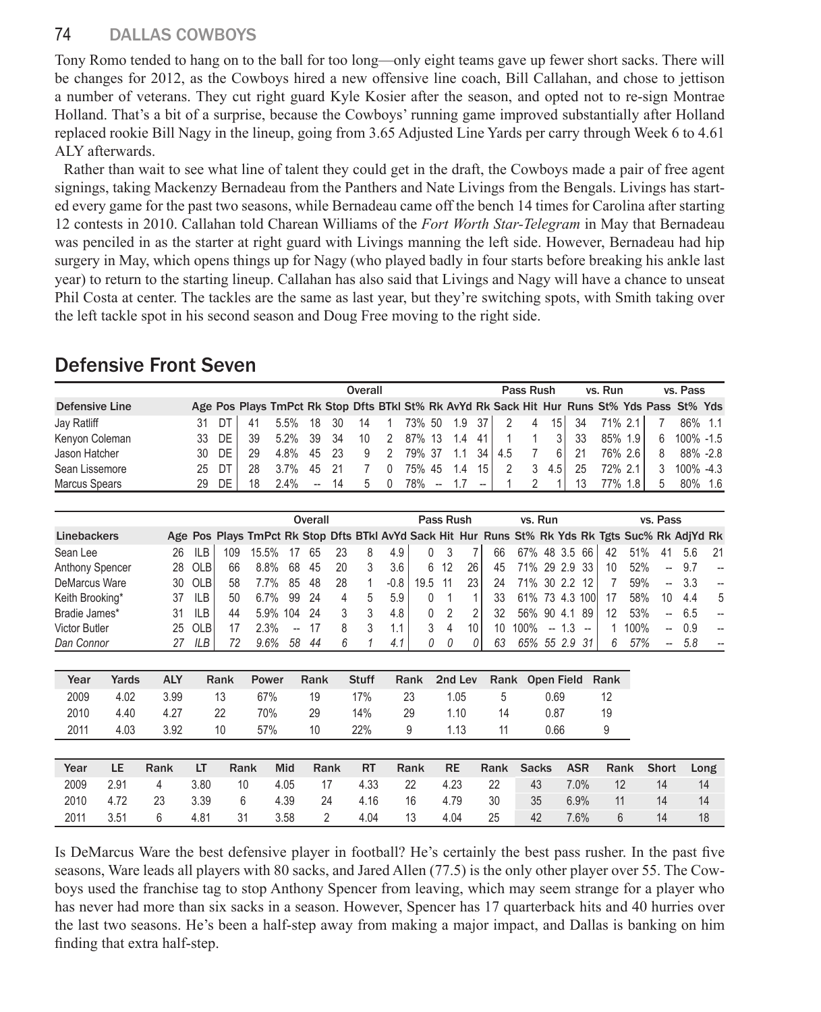#### 74 DALLAS COWBOYS

Tony Romo tended to hang on to the ball for too long—only eight teams gave up fewer short sacks. There will be changes for 2012, as the Cowboys hired a new offensive line coach, Bill Callahan, and chose to jettison a number of veterans. They cut right guard Kyle Kosier after the season, and opted not to re-sign Montrae Holland. That's a bit of a surprise, because the Cowboys' running game improved substantially after Holland replaced rookie Bill Nagy in the lineup, going from 3.65 Adjusted Line Yards per carry through Week 6 to 4.61 ALY afterwards.

Rather than wait to see what line of talent they could get in the draft, the Cowboys made a pair of free agent signings, taking Mackenzy Bernadeau from the Panthers and Nate Livings from the Bengals. Livings has started every game for the past two seasons, while Bernadeau came off the bench 14 times for Carolina after starting 12 contests in 2010. Callahan told Charean Williams of the *Fort Worth Star-Telegram* in May that Bernadeau was penciled in as the starter at right guard with Livings manning the left side. However, Bernadeau had hip surgery in May, which opens things up for Nagy (who played badly in four starts before breaking his ankle last year) to return to the starting lineup. Callahan has also said that Livings and Nagy will have a chance to unseat Phil Costa at center. The tackles are the same as last year, but they're switching spots, with Smith taking over the left tackle spot in his second season and Doug Free moving to the right side.

# Defensive Front Seven

|                |     |         |    | Overall                                                                                     |                          |      |   |              |     |                          |                    |                 | Pass Rush                 |   |                |      | vs. Run |          |                | vs. Pass            |  |
|----------------|-----|---------|----|---------------------------------------------------------------------------------------------|--------------------------|------|---|--------------|-----|--------------------------|--------------------|-----------------|---------------------------|---|----------------|------|---------|----------|----------------|---------------------|--|
| Defensive Line |     |         |    | Age Pos Plays TmPct Rk Stop Dfts BTkl St% Rk AvYd Rk Sack Hit Hur Runs St% Yds Pass St% Yds |                          |      |   |              |     |                          |                    |                 |                           |   |                |      |         |          |                |                     |  |
| Jay Ratliff    | 31  | DT      | 41 | 5.5% 18 30 14 1 73% 50 1.9 37                                                               |                          |      |   |              |     |                          |                    |                 | 2 4                       |   | 15 I           | . 34 | 71% 2.1 |          | $\overline{7}$ | 86% 1.1             |  |
| Kenyon Coleman |     | 33 DE I | 39 | 5.2% 39 34                                                                                  |                          |      |   |              |     |                          | 10 2 87% 13 1.4 41 |                 |                           |   | 3 <sup>1</sup> | -33  |         | 85% 1.9  |                | 6 100% -1.5         |  |
| Jason Hatcher  |     | 30 DE   | 29 | 4.8% 45 23                                                                                  |                          |      |   |              |     |                          |                    |                 | 9 2 79% 37 1.1 34   4.5 7 |   | - 6 I          | -21  |         | 76% 2.6  | 8              | 88% -2.8            |  |
| Sean Lissemore | 25. | DT      | 28 | 3.7% 4.5                                                                                    |                          | - 21 |   | $\mathbf{0}$ |     |                          | 75% 45 1.4         | 15 <sup>1</sup> | 2                         | 3 | 4.5            | 25   |         | 72% 2.11 |                | $3\quad 100\% -4.3$ |  |
| Marcus Spears  | 29. | DE      | 18 | 2.4%                                                                                        | $\overline{\phantom{a}}$ | -14  | 5 | $\Omega$     | 78% | $\overline{\phantom{a}}$ | 17                 | $-$             |                           |   |                | 13   |         | 77% 1.8  | 5              | 80% 1.6             |  |

|                        |    |            |     |                                                                                                  |     | Overall |    |   |        | Pass Rush |      |                 |    | vs. Run        |                |     |                   |    |      | vs. Pass                 |     |      |
|------------------------|----|------------|-----|--------------------------------------------------------------------------------------------------|-----|---------|----|---|--------|-----------|------|-----------------|----|----------------|----------------|-----|-------------------|----|------|--------------------------|-----|------|
| Linebackers            |    |            |     | Age Pos Plays TmPct Rk Stop Dfts BTkl AvYd Sack Hit Hur Runs St% Rk Yds Rk Tgts Suc% Rk AdjYd Rk |     |         |    |   |        |           |      |                 |    |                |                |     |                   |    |      |                          |     |      |
| Sean Lee               | 26 | <b>ILB</b> | 109 | 15.5%                                                                                            |     | 65      | 23 | 8 | 4.9    |           |      |                 | 66 | 67% 48 3.5     |                |     | 66                | 42 | 51%  | 41                       | 5.6 | - 21 |
| <b>Anthony Spencer</b> |    | 28 OLB     | 66  | 8.8%                                                                                             | 68  | 45      | 20 |   | 3.6    |           | 6 12 | 26              | 45 | 71% 29 2.9     |                |     | -33               | 10 | 52%  | $\overline{a}$           | 97  |      |
| DeMarcus Ware          | 30 | OLB        | 58  | 77%                                                                                              | 85  | 48      | 28 |   | $-0.8$ | 195       |      | 23 <sub>1</sub> | 24 | 71% 30 2.2     |                |     |                   |    | 59%  | $\overline{a}$           | 3.3 |      |
| Keith Brooking*        | 37 | ILB        | 50  | 67%                                                                                              | 99  | - 24    | 4  | 5 | 5.9    |           |      |                 | 33 | 61% 73 4.3 100 |                |     |                   |    | 58%  | 10                       | 44  | -5   |
| Bradie James*          | 31 | <b>ILB</b> | 44  | 5.9% 104                                                                                         |     | - 24    |    |   | 4.8    |           |      |                 | 32 | 56% 90 4.1     |                |     | 89                | 12 | 53%  | $\overline{\phantom{0}}$ | 6.5 |      |
| <b>Victor Butler</b>   |    | 25 OLB     |     | $2.3\%$                                                                                          | --  |         |    |   | 1.1    |           | 4    | 10 <sup>1</sup> | 10 | 100%           | $\overline{a}$ | 1.3 | $\qquad \qquad -$ |    | 100% | $\overline{\phantom{0}}$ | 0.9 |      |
| Dan Connor             | 27 | ILB        | 72  | 96%                                                                                              | .58 | 44      | 6  |   | 4.1    |           | 0    |                 | 63 | 65% 55 2.9     |                |     | -31               | 6  | 57%  | $\overline{\phantom{a}}$ | 5.8 |      |

| Year | Yards | <b>ALY</b> | Rank | Power | Rank | <b>Stuff</b> | Rank | 2nd Lev |     | Rank Open Field Rank |    |
|------|-------|------------|------|-------|------|--------------|------|---------|-----|----------------------|----|
| 2009 | 4.02  | 3.99       | 13   | 67%   | -19  | 17%          | -23  | 1.05    | - 5 | 0.69                 |    |
| 2010 | 4.40  | 4.27       | 22   | 70%   | 29   | 14%          | 29   | 1.10    | 14  | 0.87                 | 19 |
| 2011 | 4.03  | 3.92       | 10   | 57%   | 10   | 22%          | 9    | 1.13    |     | 0.66                 |    |

| Year | LE.  | Rank | LT   | Rank | Mid  | Rank | <b>RT</b> | Rank | <b>RE</b> |    | Rank Sacks | ASR     | Rank | Short | Long |
|------|------|------|------|------|------|------|-----------|------|-----------|----|------------|---------|------|-------|------|
| 2009 | 2.91 | 4    | 3.80 | 10   | 4.05 | 17   | 4.33      | -22  | 4.23      | 22 | 43         | $7.0\%$ | 12   | 14    | 14   |
| 2010 | 4.72 | 23   | 3.39 | 6    | 4.39 | -24  | 4.16      | -16  | 4.79      | 30 | 35         | 6.9%    | 11   | 14    | 14   |
| 2011 | 3.51 |      | 4.81 | 31   | 3.58 | 2    | 4.04      | - 13 | 4.04      | 25 | 42         | 7.6%    |      | 14    | 18   |

Is DeMarcus Ware the best defensive player in football? He's certainly the best pass rusher. In the past five seasons, Ware leads all players with 80 sacks, and Jared Allen (77.5) is the only other player over 55. The Cowboys used the franchise tag to stop Anthony Spencer from leaving, which may seem strange for a player who has never had more than six sacks in a season. However, Spencer has 17 quarterback hits and 40 hurries over the last two seasons. He's been a half-step away from making a major impact, and Dallas is banking on him finding that extra half-step.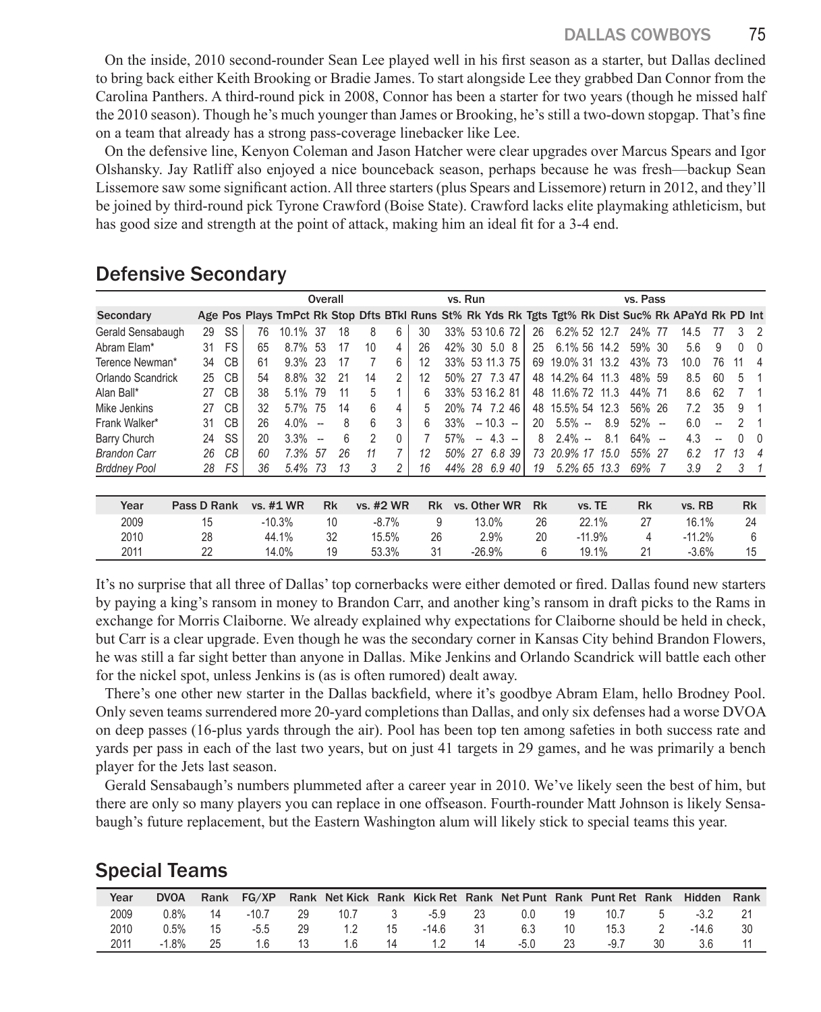On the inside, 2010 second-rounder Sean Lee played well in his first season as a starter, but Dallas declined to bring back either Keith Brooking or Bradie James. To start alongside Lee they grabbed Dan Connor from the Carolina Panthers. A third-round pick in 2008, Connor has been a starter for two years (though he missed half the 2010 season). Though he's much younger than James or Brooking, he's still a two-down stopgap. That's fine on a team that already has a strong pass-coverage linebacker like Lee.

On the defensive line, Kenyon Coleman and Jason Hatcher were clear upgrades over Marcus Spears and Igor Olshansky. Jay Ratliff also enjoyed a nice bounceback season, perhaps because he was fresh—backup Sean Lissemore saw some significant action. All three starters (plus Spears and Lissemore) return in 2012, and they'll be joined by third-round pick Tyrone Crawford (Boise State). Crawford lacks elite playmaking athleticism, but has good size and strength at the point of attack, making him an ideal fit for a 3-4 end.

|                     |             |           |    | Overall    |                          |           | vs. Run        |                |     |     |                          |                |                      | vs. Pass     |          |      |                      |                          |                                                                                                    |    |    |                |
|---------------------|-------------|-----------|----|------------|--------------------------|-----------|----------------|----------------|-----|-----|--------------------------|----------------|----------------------|--------------|----------|------|----------------------|--------------------------|----------------------------------------------------------------------------------------------------|----|----|----------------|
| Secondary           |             |           |    |            |                          |           |                |                |     |     |                          |                |                      |              |          |      |                      |                          | Age Pos Plays TmPct Rk Stop Dfts BTkl Runs St% Rk Yds Rk Tgts Tgt% Rk Dist Suc% Rk APaYd Rk PD Int |    |    |                |
| Gerald Sensabaugh   | 29          | SS        | 76 | 10.1%      | -37                      | 18        | 8              | 6              | 30  |     |                          | 33% 53 10.6 72 | 26                   | 6.2% 52 12.7 |          |      | 24%                  | -77                      | 14.5                                                                                               |    | 3  | $\overline{2}$ |
| Abram Elam*         | 31          | <b>FS</b> | 65 | 8.7% 53    |                          | 17        | 10             | 4              | 26  |     |                          | 42% 30 5.0 8   | 25                   | 6.1% 56 14.2 |          |      | 59% 30               |                          | 5.6                                                                                                | 9  | 0  | 0              |
| Terence Newman*     | 34          | CB        | 61 | $9.3\%$ 23 |                          | 17        |                | 6              | 12  |     |                          | 33% 53 11.3 75 | 69                   | 19.0% 31     |          | 13.2 | 43%                  | -73                      | 10.0                                                                                               | 76 | 11 | 4              |
| Orlando Scandrick   | 25          | <b>CB</b> | 54 | 8.8%       | -32                      | 21        | 14             | 2              | 12  |     |                          | 50% 27 7.3 47  | 48                   | 14.2% 64     |          | 11.3 | 48% 59               |                          | 8.5                                                                                                | 60 | 5  |                |
| Alan Ball*          | 27          | <b>CB</b> | 38 | 5.1%       | 79                       | 11        | 5              |                | 6   |     |                          | 33% 53 16.2 81 | 48                   | 11.6% 72     |          | 11.3 | 44%                  | -71                      | 8.6                                                                                                | 62 |    |                |
| Mike Jenkins        | 27          | CВ        | 32 | $5.7\%$    | 75                       | 14        | 6              | 4              | 5   | 20% |                          | 74 7.2 46      | 48                   | 15.5% 54     |          | 12.3 | 56% 26               |                          | 72                                                                                                 | 35 | 9  |                |
| Frank Walker*       | 31          | CВ        | 26 | 4.0%       | $\overline{\phantom{a}}$ | 8         | 6              | 3              | 6   | 33% |                          | $-10.3 -$      | 20                   | $5.5\% -$    |          | 8.9  | 52%                  | $\overline{a}$           | 6.0                                                                                                |    |    |                |
| Barry Church        | 24          | SS        | 20 | 3.3%       | $\overline{\phantom{a}}$ | 6         | $\overline{2}$ | 0              |     | 57% | $\overline{\phantom{a}}$ | $4.3 -$        | 8                    | $2.4\% -$    |          | 8.1  | 64%                  | $\overline{\phantom{a}}$ | 4.3                                                                                                | -- |    | $\Omega$       |
| <b>Brandon Carr</b> | 26          | CВ        | 60 | 7.3%       | 57                       | 26        | 11             | $\overline{7}$ | 12  | 50% | 27                       | 6.8 39         | 73                   | 20.9% 17     |          | 15.0 | 55%                  | -27                      | 6.2                                                                                                | 17 | 13 | 4              |
| <b>Brddney Pool</b> | 28          | FS        | 36 | 5.4%       | 73                       | 13        | 3              | 2              | 16  |     |                          | 44% 28 6.9 40  | 19                   | 5.2% 65 13.3 |          |      | 69%                  |                          | 3.9                                                                                                | 2  | 3  |                |
|                     |             |           |    |            |                          |           |                |                |     |     |                          |                |                      |              |          |      |                      |                          |                                                                                                    |    |    |                |
| Year                | Pass D Rank |           |    | vs. #1 WR  |                          | <b>Rk</b> |                | vs. #2 WR      | Rk. |     |                          | vs. Other WR   | <b>R<sub>k</sub></b> |              | vs. TE   |      | <b>R<sub>k</sub></b> |                          | vs. RB                                                                                             |    |    | <b>Rk</b>      |
| 2009                | 15          |           |    | $-10.3%$   |                          | 10        |                | $-8.7%$        |     | 9   |                          | 13.0%          | 26                   |              | 22.1%    |      | 27                   |                          | 16.1%                                                                                              |    |    | 24             |
| 2010                | 28          |           |    | 44.1%      |                          | 32        |                | 15.5%          | 26  |     |                          | 2.9%           | 20                   |              | $-11.9%$ |      | 4                    |                          | $-11.2%$                                                                                           |    |    | 6              |
| 2011                | 22          |           |    | 14.0%      |                          | 19        |                | 53.3%          | 31  |     |                          | $-26.9%$       | 6                    |              | 19.1%    |      | 21                   |                          | $-3.6%$                                                                                            |    |    | 15             |

#### Defensive Secondary

It's no surprise that all three of Dallas' top cornerbacks were either demoted or fired. Dallas found new starters by paying a king's ransom in money to Brandon Carr, and another king's ransom in draft picks to the Rams in exchange for Morris Claiborne. We already explained why expectations for Claiborne should be held in check, but Carr is a clear upgrade. Even though he was the secondary corner in Kansas City behind Brandon Flowers, he was still a far sight better than anyone in Dallas. Mike Jenkins and Orlando Scandrick will battle each other for the nickel spot, unless Jenkins is (as is often rumored) dealt away.

There's one other new starter in the Dallas backfield, where it's goodbye Abram Elam, hello Brodney Pool. Only seven teams surrendered more 20-yard completions than Dallas, and only six defenses had a worse DVOA on deep passes (16-plus yards through the air). Pool has been top ten among safeties in both success rate and yards per pass in each of the last two years, but on just 41 targets in 29 games, and he was primarily a bench player for the Jets last season.

Gerald Sensabaugh's numbers plummeted after a career year in 2010. We've likely seen the best of him, but there are only so many players you can replace in one offseason. Fourth-rounder Matt Johnson is likely Sensabaugh's future replacement, but the Eastern Washington alum will likely stick to special teams this year.

## Special Teams

| Year | <b>DVOA</b> | Rank | FG/XP  |     |      |     |         |      | Rank Net Kick Rank Kick Ret Rank Net Punt Rank Punt Ret Rank |    |      |   | Hidden  | Rank |
|------|-------------|------|--------|-----|------|-----|---------|------|--------------------------------------------------------------|----|------|---|---------|------|
| 2009 | 0 ጸ%        | 14   | -10.7  | -29 | 10.7 | - 3 | -5.9    | -23  | 0.0                                                          | 19 | 10.7 | 5 | $-3.2$  |      |
| 2010 | $0.5\%$     | 15   | $-5.5$ | 29  | 12   | 15  | $-14.6$ | - 31 | 6.3                                                          | 10 | 15.3 |   | $-14.6$ |      |
| 2011 | $-1.8%$     | 25   |        | 13  | 1.6  | 14  | 17      | 14   | $-5.0$                                                       |    | -9.7 |   |         |      |